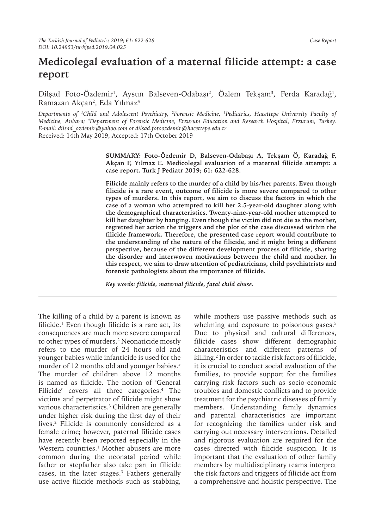# **Medicolegal evaluation of a maternal filicide attempt: a case report**

Dilşad Foto-Ozdemir<sup>ı</sup>, Aysun Balseven-Odabaşı<sup>2</sup>, Ozlem Tekşam<sup>3</sup>, Ferda Karadağ<sup>ı</sup>, Ramazan Akçan<sup>2</sup>, Eda Yılmaz<sup>4</sup>

*Departments of 1 Child and Adolescent Psychiatry, 2 Forensic Medicine, 3 Pediatrics, Hacettepe University Faculty of Medicine, Ankara; 4 Department of Forensic Medicine, Erzurum Education and Research Hospital, Erzurum, Turkey. E-mail: dilsad\_ozdemir@yahoo.com or dilsad.fotoozdemir@hacettepe.edu.tr* Received: 14th May 2019, Accepted: 17th October 2019

> **SUMMARY: Foto-Özdemir D, Balseven-Odabaşı A, Tekşam Ö, Karadağ F, Akçan F, Yılmaz E. Medicolegal evaluation of a maternal filicide attempt: a case report. Turk J Pediatr 2019; 61: 622-628.**

> **Filicide mainly refers to the murder of a child by his/her parents. Even though filicide is a rare event, outcome of filicide is more severe compared to other types of murders. In this report, we aim to discuss the factors in which the case of a woman who attempted to kill her 2.5-year-old daughter along with the demographical characteristics. Twenty-nine-year-old mother attempted to kill her daughter by hanging. Even though the victim did not die as the mother, regretted her action the triggers and the plot of the case discussed within the filicide framework. Therefore, the presented case report would contribute to the understanding of the nature of the filicide, and it might bring a different perspective, because of the different development process of filicide, sharing the disorder and interwoven motivations between the child and mother. In this respect, we aim to draw attention of pediatricians, child psychiatrists and forensic pathologists about the importance of filicide.**

*Key words: filicide, maternal filicide, fatal child abuse.*

The killing of a child by a parent is known as filicide.<sup>1</sup> Even though filicide is a rare act, its consequences are much more severe compared to other types of murders.<sup>2</sup> Neonaticide mostly refers to the murder of 24 hours old and younger babies while infanticide is used for the murder of 12 months old and younger babies.<sup>3</sup> The murder of children above 12 months is named as filicide. The notion of 'General Filicide' covers all three categories.<sup>4</sup> The victims and perpetrator of filicide might show various characteristics.<sup>3</sup> Children are generally under higher risk during the first day of their lives.<sup>2</sup> Filicide is commonly considered as a female crime; however, paternal filicide cases have recently been reported especially in the Western countries.<sup>1</sup> Mother abusers are more common during the neonatal period while father or stepfather also take part in filicide cases, in the later stages.<sup>3</sup> Fathers generally use active filicide methods such as stabbing,

while mothers use passive methods such as whelming and exposure to poisonous gases.<sup>5</sup> Due to physical and cultural differences, filicide cases show different demographic characteristics and different patterns of killing.<sup>2</sup> In order to tackle risk factors of filicide, it is crucial to conduct social evaluation of the families, to provide support for the families carrying risk factors such as socio-economic troubles and domestic conflicts and to provide treatment for the psychiatric diseases of family members. Understanding family dynamics and parental characteristics are important for recognizing the families under risk and carrying out necessary interventions. Detailed and rigorous evaluation are required for the cases directed with filicide suspicion. It is important that the evaluation of other family members by multidisciplinary teams interpret the risk factors and triggers of filicide act from a comprehensive and holistic perspective. The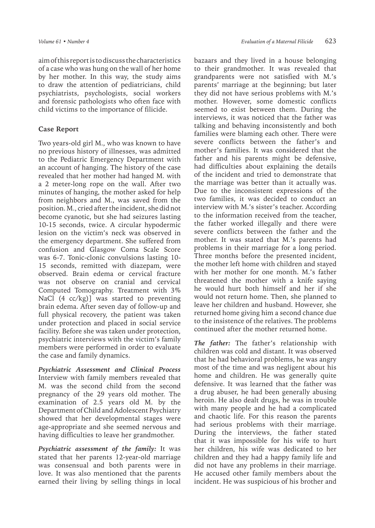aim of this report is to discuss the characteristics of a case who was hung on the wall of her home by her mother. In this way, the study aims to draw the attention of pediatricians, child psychiatrists, psychologists, social workers and forensic pathologists who often face with child victims to the importance of filicide.

### **Case Report**

Two years-old girl M., who was known to have no previous history of illnesses, was admitted to the Pediatric Emergency Department with an account of hanging. The history of the case revealed that her mother had hanged M. with a 2 meter-long rope on the wall. After two minutes of hanging, the mother asked for help from neighbors and M., was saved from the position. M., cried after the incident, she did not become cyanotic, but she had seizures lasting 10-15 seconds, twice. A circular hypodermic lesion on the victim's neck was observed in the emergency department. She suffered from confusion and Glasgow Coma Scale Score was 6-7. Tonic-clonic convulsions lasting 10- 15 seconds, remitted with diazepam, were observed. Brain edema or cervical fracture was not observe on cranial and cervical Computed Tomography. Treatment with 3% NaCl (4 cc/kg)] was started to preventing brain edema. After seven day of follow-up and full physical recovery, the patient was taken under protection and placed in social service facility. Before she was taken under protection, psychiatric interviews with the victim's family members were performed in order to evaluate the case and family dynamics.

*Psychiatric Assessment and Clinical Process*  Interview with family members revealed that M. was the second child from the second pregnancy of the 29 years old mother. The examination of 2.5 years old M. by the Department of Child and Adolescent Psychiatry showed that her developmental stages were age-appropriate and she seemed nervous and having difficulties to leave her grandmother.

*Psychiatric assessment of the family:* It was stated that her parents 12-year-old marriage was consensual and both parents were in love. It was also mentioned that the parents earned their living by selling things in local bazaars and they lived in a house belonging to their grandmother. It was revealed that grandparents were not satisfied with M.'s parents' marriage at the beginning; but later they did not have serious problems with M.'s mother. However, some domestic conflicts seemed to exist between them. During the interviews, it was noticed that the father was talking and behaving inconsistently and both families were blaming each other. There were severe conflicts between the father's and mother's families. It was considered that the father and his parents might be defensive, had difficulties about explaining the details of the incident and tried to demonstrate that the marriage was better than it actually was. Due to the inconsistent expressions of the two families, it was decided to conduct an interview with M.'s sister's teacher. According to the information received from the teacher, the father worked illegally and there were severe conflicts between the father and the mother. It was stated that M.'s parents had problems in their marriage for a long period. Three months before the presented incident, the mother left home with children and stayed with her mother for one month. M.'s father threatened the mother with a knife saying he would hurt both himself and her if she would not return home. Then, she planned to leave her children and husband. However, she returned home giving him a second chance due to the insistence of the relatives. The problems continued after the mother returned home.

*The father:* The father's relationship with children was cold and distant. It was observed that he had behavioral problems, he was angry most of the time and was negligent about his home and children. He was generally quite defensive. It was learned that the father was a drug abuser, he had been generally abusing heroin. He also dealt drugs, he was in trouble with many people and he had a complicated and chaotic life. For this reason the parents had serious problems with their marriage. During the interviews, the father stated that it was impossible for his wife to hurt her children, his wife was dedicated to her children and they had a happy family life and did not have any problems in their marriage. He accused other family members about the incident. He was suspicious of his brother and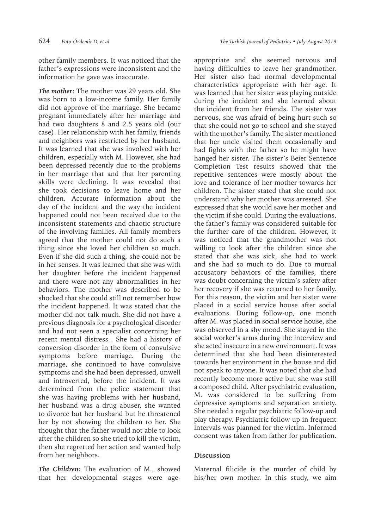other family members. It was noticed that the father's expressions were inconsistent and the information he gave was inaccurate.

*The mother:* The mother was 29 years old. She was born to a low-income family. Her family did not approve of the marriage. She became pregnant immediately after her marriage and had two daughters 8 and 2.5 years old (our case). Her relationship with her family, friends and neighbors was restricted by her husband. It was learned that she was involved with her children, especially with M. However, she had been depressed recently due to the problems in her marriage that and that her parenting skills were declining. It was revealed that she took decisions to leave home and her children. Accurate information about the day of the incident and the way the incident happened could not been received due to the inconsistent statements and chaotic structure of the involving families. All family members agreed that the mother could not do such a thing since she loved her children so much. Even if she did such a thing, she could not be in her senses. It was learned that she was with her daughter before the incident happened and there were not any abnormalities in her behaviors. The mother was described to be shocked that she could still not remember how the incident happened. It was stated that the mother did not talk much. She did not have a previous diagnosis for a psychological disorder and had not seen a specialist concerning her recent mental distress . She had a history of conversion disorder in the form of convulsive symptoms before marriage. During the marriage, she continued to have convulsive symptoms and she had been depressed, unwell and introverted, before the incident. It was determined from the police statement that she was having problems with her husband, her husband was a drug abuser, she wanted to divorce but her husband but he threatened her by not showing the children to her. She thought that the father would not able to look after the children so she tried to kill the victim, then she regretted her action and wanted help from her neighbors.

*The Children:* The evaluation of M., showed that her developmental stages were ageappropriate and she seemed nervous and having difficulties to leave her grandmother. Her sister also had normal developmental characteristics appropriate with her age. It was learned that her sister was playing outside during the incident and she learned about the incident from her friends. The sister was nervous, she was afraid of being hurt such so that she could not go to school and she stayed with the mother's family. The sister mentioned that her uncle visited them occasionally and had fights with the father so he might have hanged her sister. The sister's Beier Sentence Completion Test results showed that the repetitive sentences were mostly about the love and tolerance of her mother towards her children. The sister stated that she could not understand why her mother was arrested. She expressed that she would save her mother and the victim if she could. During the evaluations, the father's family was considered suitable for the further care of the children. However, it was noticed that the grandmother was not willing to look after the children since she stated that she was sick, she had to work and she had so much to do. Due to mutual accusatory behaviors of the families, there was doubt concerning the victim's safety after her recovery if she was returned to her family. For this reason, the victim and her sister were placed in a social service house after social evaluations. During follow-up, one month after M. was placed in social service house, she was observed in a shy mood. She stayed in the social worker's arms during the interview and she acted insecure in a new environment. It was determined that she had been disinterested towards her environment in the house and did not speak to anyone. It was noted that she had recently become more active but she was still a composed child. After psychiatric evaluation, M. was considered to be suffering from depressive symptoms and separation anxiety. She needed a regular psychiatric follow-up and play therapy. Psychiatric follow up in frequent intervals was planned for the victim. Informed consent was taken from father for publication.

## **Discussion**

Maternal filicide is the murder of child by his/her own mother. In this study, we aim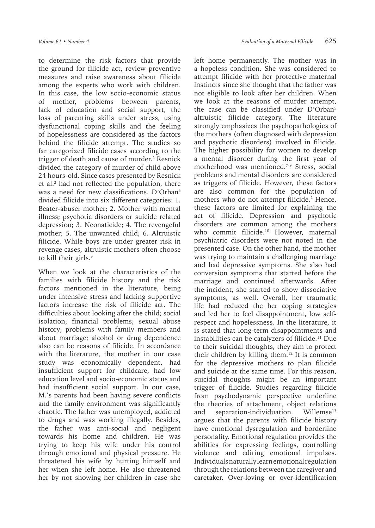to determine the risk factors that provide the ground for filicide act, review preventive measures and raise awareness about filicide among the experts who work with children. In this case, the low socio-economic status of mother, problems between parents, lack of education and social support, the loss of parenting skills under stress, using dysfunctional coping skills and the feeling of hopelessness are considered as the factors behind the filicide attempt. The studies so far categorized filicide cases according to the trigger of death and cause of murder.<sup>2</sup> Resnick divided the category of murder of child above 24 hours-old. Since cases presented by Resnick et al.<sup>2</sup> had not reflected the population, there was a need for new classifications. D'Orban<sup>6</sup> divided filicide into six different categories: 1. Beater-abuser mother; 2. Mother with mental illness; psychotic disorders or suicide related depression; 3. Neonaticide; 4. The revengeful mother; 5. The unwanted child; 6. Altruistic filicide. While boys are under greater risk in revenge cases, altruistic mothers often choose to kill their girls.<sup>3</sup>

When we look at the characteristics of the families with filicide history and the risk factors mentioned in the literature, being under intensive stress and lacking supportive factors increase the risk of filicide act. The difficulties about looking after the child; social isolation; financial problems; sexual abuse history; problems with family members and about marriage; alcohol or drug dependence also can be reasons of filicide. In accordance with the literature, the mother in our case study was economically dependent, had insufficient support for childcare, had low education level and socio-economic status and had insufficient social support. In our case, M.'s parents had been having severe conflicts and the family environment was significantly chaotic. The father was unemployed, addicted to drugs and was working illegally. Besides, the father was anti-social and negligent towards his home and children. He was trying to keep his wife under his control through emotional and physical pressure. He threatened his wife by hurting himself and her when she left home. He also threatened her by not showing her children in case she

left home permanently. The mother was in a hopeless condition. She was considered to attempt filicide with her protective maternal instincts since she thought that the father was not eligible to look after her children. When we look at the reasons of murder attempt, the case can be classified under D'Orban<sup>5</sup> altruistic filicide category. The literature strongly emphasizes the psychopathologies of the mothers (often diagnosed with depression and psychotic disorders) involved in filicide. The higher possibility for women to develop a mental disorder during the first year of motherhood was mentioned.7-9 Stress, social problems and mental disorders are considered as triggers of filicide. However, these factors are also common for the population of mothers who do not attempt filicide.<sup>2</sup> Hence, these factors are limited for explaining the act of filicide. Depression and psychotic disorders are common among the mothers who commit filicide.<sup>10</sup> However, maternal psychiatric disorders were not noted in the presented case. On the other hand, the mother was trying to maintain a challenging marriage and had depressive symptoms. She also had conversion symptoms that started before the marriage and continued afterwards. After the incident, she started to show dissociative symptoms, as well. Overall, her traumatic life had reduced the her coping strategies and led her to feel disappointment, low selfrespect and hopelessness. In the literature, it is stated that long-term disappointments and instabilities can be catalyzers of filicide.<sup>11</sup> Due to their suicidal thoughts, they aim to protect their children by killing them.<sup>12</sup> It is common for the depressive mothers to plan filicide and suicide at the same time. For this reason, suicidal thoughts might be an important trigger of filicide. Studies regarding filicide from psychodynamic perspective underline the theories of attachment, object relations and separation-individuation. Willemse<sup>13</sup> argues that the parents with filicide history have emotional dysregulation and borderline personality. Emotional regulation provides the abilities for expressing feelings, controlling violence and editing emotional impulses. Individuals naturally learn emotional regulation through the relations between the caregiver and caretaker. Over-loving or over-identification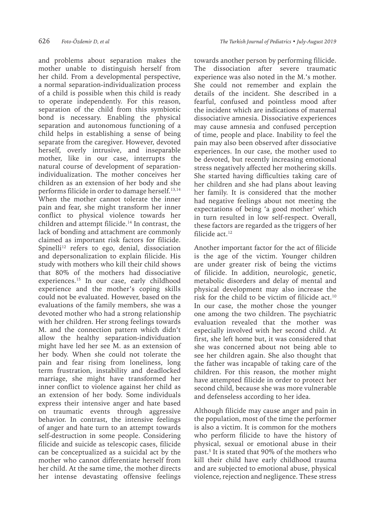and problems about separation makes the mother unable to distinguish herself from her child. From a developmental perspective, a normal separation-individualization process of a child is possible when this child is ready to operate independently. For this reason, separation of the child from this symbiotic bond is necessary. Enabling the physical separation and autonomous functioning of a child helps in establishing a sense of being separate from the caregiver. However, devoted herself, overly intrusive, and inseparable mother, like in our case, interrupts the natural course of development of separationindividualization. The mother conceives her children as an extension of her body and she performs filicide in order to damage herself.<sup>13,14</sup> When the mother cannot tolerate the inner pain and fear, she might transform her inner conflict to physical violence towards her children and attempt filicide.<sup>14</sup> In contrast, the lack of bonding and attachment are commonly claimed as important risk factors for filicide. Spinelli<sup>12</sup> refers to ego, denial, dissociation and depersonalization to explain filicide. His study with mothers who kill their child shows that 80% of the mothers had dissociative experiences.<sup>15</sup> In our case, early childhood experience and the mother's coping skills could not be evaluated. However, based on the evaluations of the family members, she was a devoted mother who had a strong relationship with her children. Her strong feelings towards M. and the connection pattern which didn't allow the healthy separation-individuation might have led her see M. as an extension of her body. When she could not tolerate the pain and fear rising from loneliness, long term frustration, instability and deadlocked marriage, she might have transformed her inner conflict to violence against her child as an extension of her body. Some individuals express their intensive anger and hate based on traumatic events through aggressive behavior. In contrast, the intensive feelings of anger and hate turn to an attempt towards self-destruction in some people. Considering filicide and suicide as telescopic cases, filicide can be conceptualized as a suicidal act by the mother who cannot differentiate herself from her child. At the same time, the mother directs her intense devastating offensive feelings

towards another person by performing filicide. The dissociation after severe traumatic experience was also noted in the M.'s mother. She could not remember and explain the details of the incident. She described in a fearful, confused and pointless mood after the incident which are indications of maternal dissociative amnesia. Dissociative experiences may cause amnesia and confused perception of time, people and place. Inability to feel the pain may also been observed after dissociative experiences. In our case, the mother used to be devoted, but recently increasing emotional stress negatively affected her mothering skills. She started having difficulties taking care of her children and she had plans about leaving her family. It is considered that the mother had negative feelings about not meeting the expectations of being 'a good mother' which in turn resulted in low self-respect. Overall, these factors are regarded as the triggers of her filicide act.<sup>12</sup>

Another important factor for the act of filicide is the age of the victim. Younger children are under greater risk of being the victims of filicide. In addition, neurologic, genetic, metabolic disorders and delay of mental and physical development may also increase the risk for the child to be victim of filicide act.10 In our case, the mother chose the younger one among the two children. The psychiatric evaluation revealed that the mother was especially involved with her second child. At first, she left home but, it was considered that she was concerned about not being able to see her children again. She also thought that the father was incapable of taking care of the children. For this reason, the mother might have attempted filicide in order to protect her second child, because she was more vulnerable and defenseless according to her idea.

Although filicide may cause anger and pain in the population, most of the time the performer is also a victim. It is common for the mothers who perform filicide to have the history of physical, sexual or emotional abuse in their past.<sup>5</sup> It is stated that 90% of the mothers who kill their child have early childhood trauma and are subjected to emotional abuse, physical violence, rejection and negligence. These stress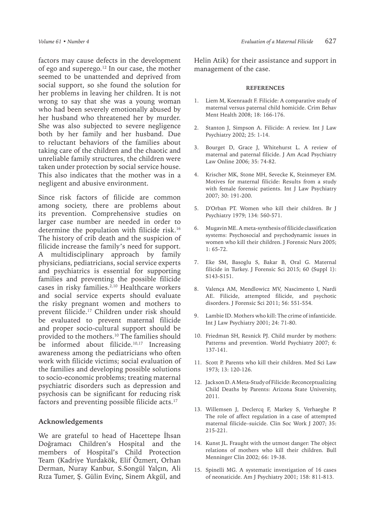factors may cause defects in the development of ego and superego.<sup>12</sup> In our case, the mother seemed to be unattended and deprived from social support, so she found the solution for her problems in leaving her children. It is not wrong to say that she was a young woman who had been severely emotionally abused by her husband who threatened her by murder. She was also subjected to severe negligence both by her family and her husband. Due to reluctant behaviors of the families about taking care of the children and the chaotic and unreliable family structures, the children were taken under protection by social service house. This also indicates that the mother was in a negligent and abusive environment.

Since risk factors of filicide are common among society, there are problems about its prevention. Comprehensive studies on larger case number are needed in order to determine the population with filicide risk.<sup>16</sup> The history of crib death and the suspicion of filicide increase the family's need for support. A multidisciplinary approach by family physicians, pediatricians, social service experts and psychiatrics is essential for supporting families and preventing the possible filicide cases in risky families.<sup>2,10</sup> Healthcare workers and social service experts should evaluate the risky pregnant women and mothers to prevent filicide.17 Children under risk should be evaluated to prevent maternal filicide and proper socio-cultural support should be provided to the mothers.10 The families should be informed about filicide.<sup>10,17</sup> Increasing awareness among the pediatricians who often work with filicide victims; social evaluation of the families and developing possible solutions to socio-economic problems; treating maternal psychiatric disorders such as depression and psychosis can be significant for reducing risk factors and preventing possible filicide acts.<sup>17</sup>

#### **Acknowledgements**

We are grateful to head of Hacettepe İhsan Doğramacı Children's Hospital and the members of Hospital's Child Protection Team (Kadriye Yurdakök, Elif Özmert, Orhan Derman, Nuray Kanbur, S.Songül Yalçın, Ali Rıza Tumer, Ş. Gülin Evinç, Sinem Akgül, and Helin Atik) for their assistance and support in management of the case.

#### **REFERENCES**

- 1. Liem M, Koenraadt F. Filicide: A comparative study of maternal versus paternal child homicide. Crim Behav Ment Health 2008; 18: 166-176.
- 2. Stanton J, Simpson A. Filicide: A review. Int J Law Psychiatry 2002; 25: 1-14.
- 3. Bourget D, Grace J, Whitehurst L. A review of maternal and paternal filicide. J Am Acad Psychiatry Law Online 2006; 35: 74-82.
- 4. Krischer MK, Stone MH, Sevecke K, Steinmeyer EM. Motives for maternal filicide: Results from a study with female forensic patients. Int J Law Psychiatry 2007; 30: 191-200.
- 5. D'Orban PT. Women who kill their children. Br J Psychiatry 1979; 134: 560-571.
- 6. Mugavin ME. A meta-synthesis of filicide classification systems: Psychosocial and psychodynamic issues in women who kill their children. J Forensic Nurs 2005; 1: 65-72.
- 7. Eke SM, Basoglu S, Bakar B, Oral G. Maternal filicide in Turkey. J Forensic Sci 2015; 60 (Suppl 1): S143-S151.
- 8. Valença AM, Mendlowicz MV, Nascimento I, Nardi AE. Filicide, attempted filicide, and psychotic disorders. J Forensic Sci 2011; 56: 551-554.
- 9. Lambie ID. Mothers who kill: The crime of infanticide. Int J Law Psychiatry 2001; 24: 71-80.
- 10. Friedman SH, Resnick PJ. Child murder by mothers: Patterns and prevention. World Psychiatry 2007; 6: 137-141.
- 11. Scott P. Parents who kill their children. Med Sci Law 1973; 13: 120-126.
- 12. Jackson D. A Meta-Study of Filicide: Reconceptualizing Child Deaths by Parents: Arizona State University, 2011.
- 13. Willemsen J, Declercq F, Markey S, Verhaeghe P. The role of affect regulation in a case of attempted maternal filicide–suicide. Clin Soc Work J 2007; 35: 215-221.
- 14. Kunst JL. Fraught with the utmost danger: The object relations of mothers who kill their children. Bull Menninger Clin 2002; 66: 19-38.
- 15. Spinelli MG. A systematic investigation of 16 cases of neonaticide. Am J Psychiatry 2001; 158: 811-813.